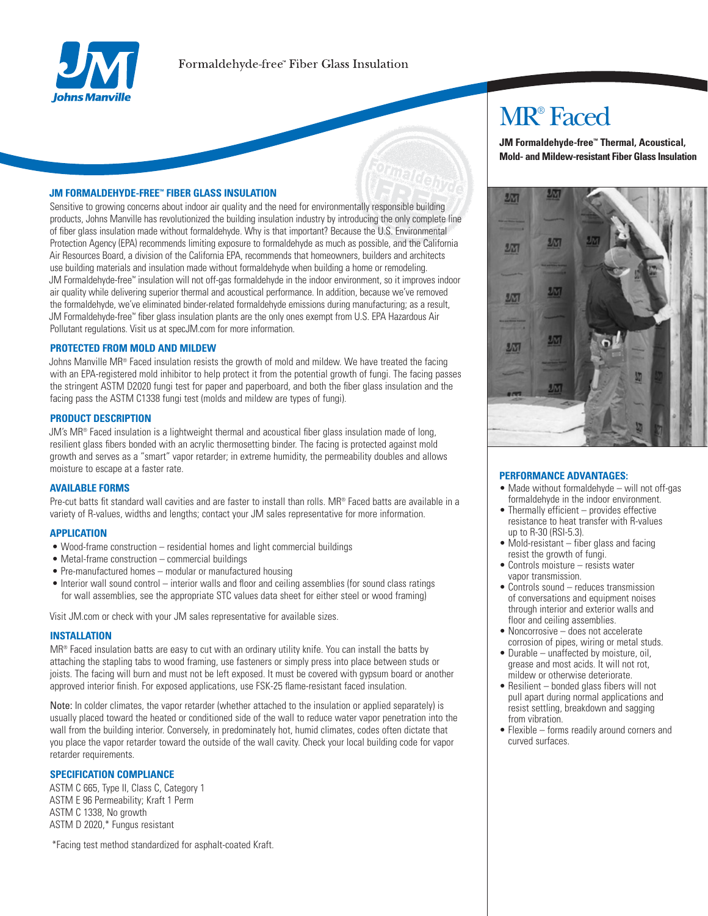

## **JM FORMALDEHYDE-FREE**<sup>®</sup> FIBER GLASS INSULATION

Sensitive to growing concerns about indoor air quality and the need for environmentally responsible building products, Johns Manville has revolutionized the building insulation industry by introducing the only complete line of fiber glass insulation made without formaldehyde. Why is that important? Because the U.S. Environmental Protection Agency (EPA) recommends limiting exposure to formaldehyde as much as possible, and the California Air Resources Board, a division of the California EPA, recommends that homeowners, builders and architects use building materials and insulation made without formaldehyde when building a home or remodeling. JM Formaldehyde-free™ insulation will not off-gas formaldehyde in the indoor environment, so it improves indoor air quality while delivering superior thermal and acoustical performance. In addition, because we've removed the formaldehyde, we've eliminated binder-related formaldehyde emissions during manufacturing; as a result, JM Formaldehyde-free" fiber glass insulation plants are the only ones exempt from U.S. EPA Hazardous Air Pollutant regulations. Visit us at specJM.com for more information.

#### **PROTECTED FROM MOLD AND MILDEW**

Johns Manville MR® Faced insulation resists the growth of mold and mildew. We have treated the facing with an EPA-registered mold inhibitor to help protect it from the potential growth of fungi. The facing passes the stringent ASTM D2020 fungi test for paper and paperboard, and both the fiber glass insulation and the facing pass the ASTM C1338 fungi test (molds and mildew are types of fungi).

#### **PRODUCT DESCRIPTION**

JM's MR® Faced insulation is a lightweight thermal and acoustical fiber glass insulation made of long, resilient glass fibers bonded with an acrylic thermosetting binder. The facing is protected against mold growth and serves as a "smart" vapor retarder; in extreme humidity, the permeability doubles and allows moisture to escape at a faster rate.

#### **AVAILABLE FORMS**

Pre-cut batts fit standard wall cavities and are faster to install than rolls. MR® Faced batts are available in a variety of R-values, widths and lengths; contact your JM sales representative for more information.

#### **APPLICATION**

- Wood-frame construction residential homes and light commercial buildings
- Metal-frame construction commercial buildings
- Pre-manufactured homes modular or manufactured housing
- Interior wall sound control interior walls and floor and ceiling assemblies (for sound class ratings for wall assemblies, see the appropriate STC values data sheet for either steel or wood framing)

Visit JM.com or check with your JM sales representative for available sizes.

### **INSTALLATION**

MR® Faced insulation batts are easy to cut with an ordinary utility knife. You can install the batts by attaching the stapling tabs to wood framing, use fasteners or simply press into place between studs or joists. The facing will burn and must not be left exposed. It must be covered with gypsum board or another approved interior finish. For exposed applications, use FSK-25 flame-resistant faced insulation.

Note: In colder climates, the vapor retarder (whether attached to the insulation or applied separately) is usually placed toward the heated or conditioned side of the wall to reduce water vapor penetration into the wall from the building interior. Conversely, in predominately hot, humid climates, codes often dictate that you place the vapor retarder toward the outside of the wall cavity. Check your local building code for vapor retarder requirements.

#### **SPECIFICATION COMPLIANCE**

ASTM C 665, Type II, Class C, Category 1 ASTM E 96 Permeability; Kraft 1 Perm ASTM C 1338, No growth ASTM D 2020,\* Fungus resistant

\*Facing test method standardized for asphalt-coated Kraft.

## **MR**<sup>®</sup> Faced

JM Formaldehyde-free<sup>™</sup> Thermal, Acoustical, **Mold- and Mildew-resistant Fiber Glass Insulation** 



#### **PERFORMANCE ADVANTAGES:**

- Made without formaldehyde will not off-gas formaldehyde in the indoor environment.
- $\bullet$  Thermally efficient  $-$  provides effective resistance to heat transfer with R-values up to R-30 (RSI-5.3).
- Mold-resistant fiber glass and facing resist the growth of fungi.
- Controls moisture resists water vapor transmission.
- Controls sound reduces transmission of conversations and equipment noises through interior and exterior walls and floor and ceiling assemblies.
- Noncorrosive does not accelerate corrosion of pipes, wiring or metal studs.
- Durable unaffected by moisture, oil, grease and most acids. It will not rot, mildew or otherwise deteriorate.
- Resilient bonded glass fibers will not pull apart during normal applications and resist settling, breakdown and sagging from vibration.
- Flexible forms readily around corners and curved surfaces.